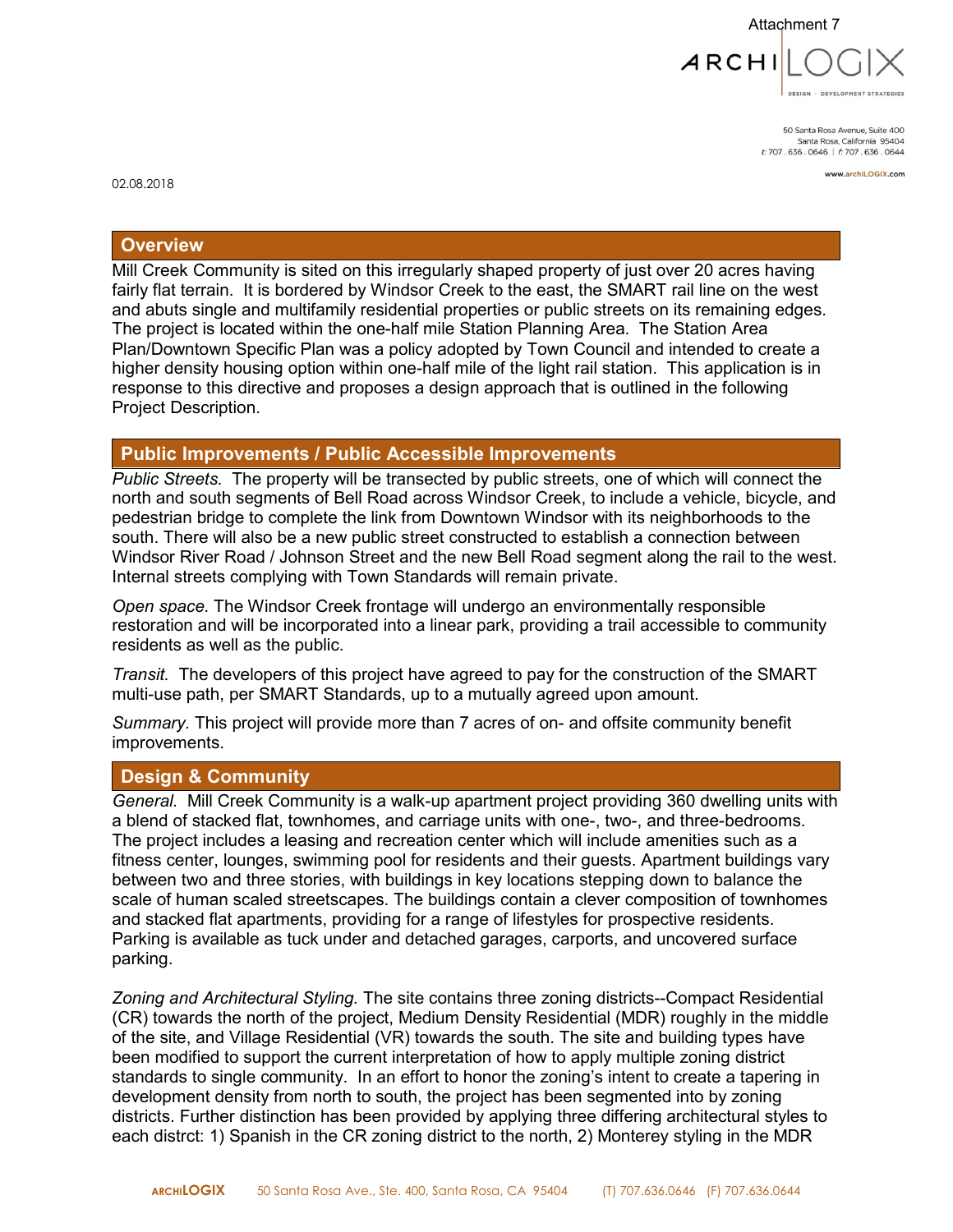

50 Santa Rosa Avenue, Suite 400 Santa Rosa, California 95404 t: 707.636.0646 | f: 707.636.0644

www.archiLOGIX.com

02.08.2018

#### **Overview**

Mill Creek Community is sited on this irregularly shaped property of just over 20 acres having fairly flat terrain. It is bordered by Windsor Creek to the east, the SMART rail line on the west and abuts single and multifamily residential properties or public streets on its remaining edges. The project is located within the one-half mile Station Planning Area. The Station Area Plan/Downtown Specific Plan was a policy adopted by Town Council and intended to create a higher density housing option within one-half mile of the light rail station. This application is in response to this directive and proposes a design approach that is outlined in the following Project Description.

### **Public Improvements / Public Accessible Improvements**

*Public Streets.* The property will be transected by public streets, one of which will connect the north and south segments of Bell Road across Windsor Creek, to include a vehicle, bicycle, and pedestrian bridge to complete the link from Downtown Windsor with its neighborhoods to the south. There will also be a new public street constructed to establish a connection between Windsor River Road / Johnson Street and the new Bell Road segment along the rail to the west. Internal streets complying with Town Standards will remain private.

*Open space.* The Windsor Creek frontage will undergo an environmentally responsible restoration and will be incorporated into a linear park, providing a trail accessible to community residents as well as the public.

*Transit.* The developers of this project have agreed to pay for the construction of the SMART multi-use path, per SMART Standards, up to a mutually agreed upon amount.

*Summary.* This project will provide more than 7 acres of on- and offsite community benefit improvements.

#### **Design & Community**

*General.* Mill Creek Community is a walk-up apartment project providing 360 dwelling units with a blend of stacked flat, townhomes, and carriage units with one-, two-, and three-bedrooms. The project includes a leasing and recreation center which will include amenities such as a fitness center, lounges, swimming pool for residents and their guests. Apartment buildings vary between two and three stories, with buildings in key locations stepping down to balance the scale of human scaled streetscapes. The buildings contain a clever composition of townhomes and stacked flat apartments, providing for a range of lifestyles for prospective residents. Parking is available as tuck under and detached garages, carports, and uncovered surface parking.

*Zoning and Architectural Styling.* The site contains three zoning districts--Compact Residential (CR) towards the north of the project, Medium Density Residential (MDR) roughly in the middle of the site, and Village Residential (VR) towards the south. The site and building types have been modified to support the current interpretation of how to apply multiple zoning district standards to single community. In an effort to honor the zoning's intent to create a tapering in development density from north to south, the project has been segmented into by zoning districts. Further distinction has been provided by applying three differing architectural styles to each distrct: 1) Spanish in the CR zoning district to the north, 2) Monterey styling in the MDR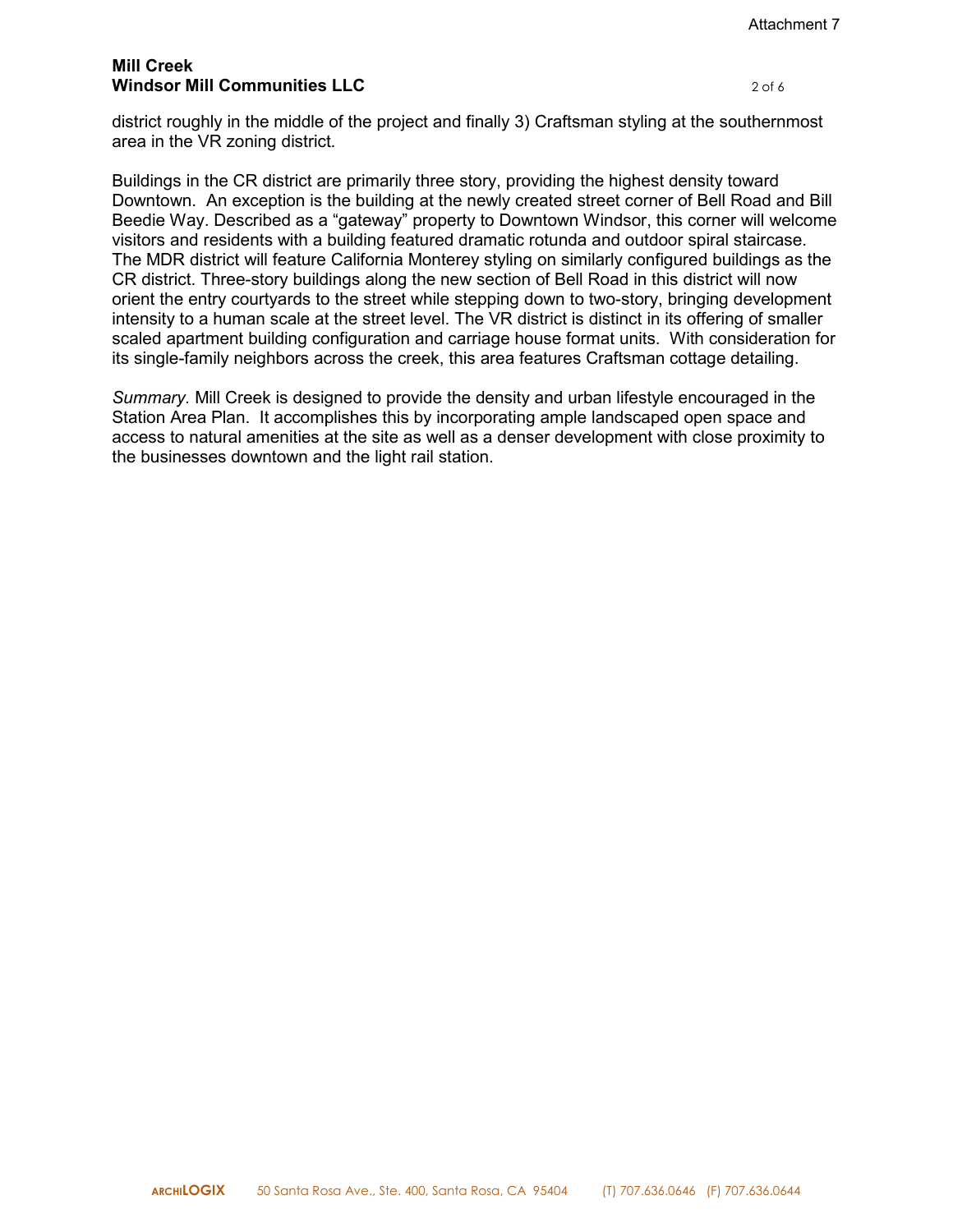### **Mill Creek Windsor Mill Communities LLC** 2066

district roughly in the middle of the project and finally 3) Craftsman styling at the southernmost area in the VR zoning district.

Buildings in the CR district are primarily three story, providing the highest density toward Downtown. An exception is the building at the newly created street corner of Bell Road and Bill Beedie Way. Described as a "gateway" property to Downtown Windsor, this corner will welcome visitors and residents with a building featured dramatic rotunda and outdoor spiral staircase. The MDR district will feature California Monterey styling on similarly configured buildings as the CR district. Three-story buildings along the new section of Bell Road in this district will now orient the entry courtyards to the street while stepping down to two-story, bringing development intensity to a human scale at the street level. The VR district is distinct in its offering of smaller scaled apartment building configuration and carriage house format units. With consideration for its single-family neighbors across the creek, this area features Craftsman cottage detailing.

*Summary.* Mill Creek is designed to provide the density and urban lifestyle encouraged in the Station Area Plan. It accomplishes this by incorporating ample landscaped open space and access to natural amenities at the site as well as a denser development with close proximity to the businesses downtown and the light rail station.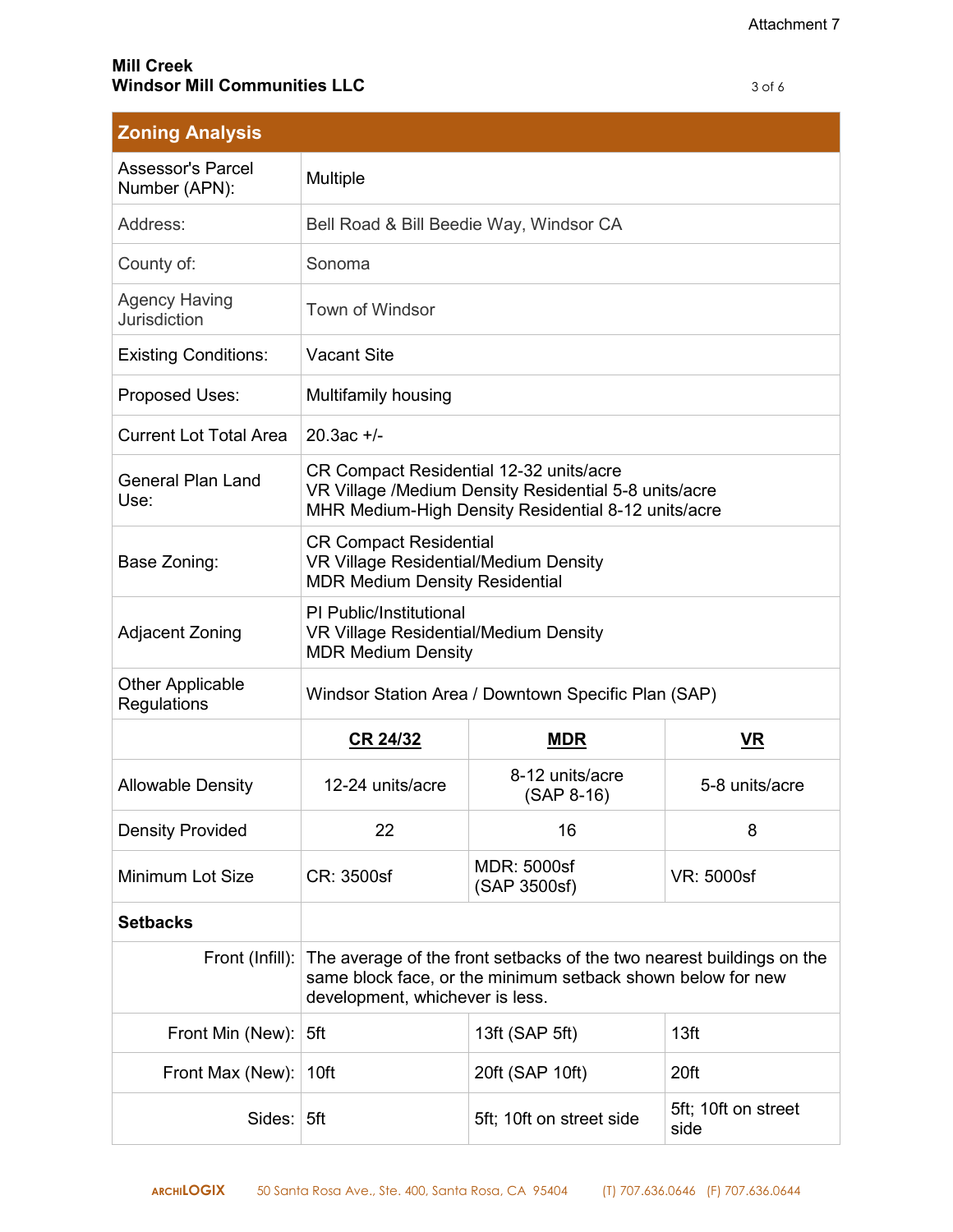| <b>Zoning Analysis</b>                    |                                                                                                                                                                         |                                    |                             |
|-------------------------------------------|-------------------------------------------------------------------------------------------------------------------------------------------------------------------------|------------------------------------|-----------------------------|
| <b>Assessor's Parcel</b><br>Number (APN): | Multiple                                                                                                                                                                |                                    |                             |
| Address:                                  | Bell Road & Bill Beedie Way, Windsor CA                                                                                                                                 |                                    |                             |
| County of:                                | Sonoma                                                                                                                                                                  |                                    |                             |
| <b>Agency Having</b><br>Jurisdiction      | Town of Windsor                                                                                                                                                         |                                    |                             |
| <b>Existing Conditions:</b>               | <b>Vacant Site</b>                                                                                                                                                      |                                    |                             |
| Proposed Uses:                            | Multifamily housing                                                                                                                                                     |                                    |                             |
| <b>Current Lot Total Area</b>             | $20.3ac +/-$                                                                                                                                                            |                                    |                             |
| <b>General Plan Land</b><br>Use:          | CR Compact Residential 12-32 units/acre<br>VR Village /Medium Density Residential 5-8 units/acre<br>MHR Medium-High Density Residential 8-12 units/acre                 |                                    |                             |
| Base Zoning:                              | <b>CR Compact Residential</b><br><b>VR Village Residential/Medium Density</b><br><b>MDR Medium Density Residential</b>                                                  |                                    |                             |
| <b>Adjacent Zoning</b>                    | PI Public/Institutional<br><b>VR Village Residential/Medium Density</b><br><b>MDR Medium Density</b>                                                                    |                                    |                             |
| <b>Other Applicable</b><br>Regulations    | Windsor Station Area / Downtown Specific Plan (SAP)                                                                                                                     |                                    |                             |
|                                           | CR 24/32                                                                                                                                                                | <b>MDR</b>                         | <b>VR</b>                   |
| <b>Allowable Density</b>                  | 12-24 units/acre                                                                                                                                                        | 8-12 units/acre<br>$(SAP 8-16)$    | 5-8 units/acre              |
| <b>Density Provided</b>                   | 22                                                                                                                                                                      | 16                                 | 8                           |
| Minimum Lot Size                          | CR: 3500sf                                                                                                                                                              | <b>MDR: 5000sf</b><br>(SAP 3500sf) | VR: 5000sf                  |
| <b>Setbacks</b>                           |                                                                                                                                                                         |                                    |                             |
| Front (Infill):                           | The average of the front setbacks of the two nearest buildings on the<br>same block face, or the minimum setback shown below for new<br>development, whichever is less. |                                    |                             |
| Front Min (New):                          | 5ft                                                                                                                                                                     | 13ft (SAP 5ft)                     | 13ft                        |
| Front Max (New):                          | 10ft                                                                                                                                                                    | 20ft (SAP 10ft)                    | 20ft                        |
| Sides:                                    | 5ft                                                                                                                                                                     | 5ft; 10ft on street side           | 5ft; 10ft on street<br>side |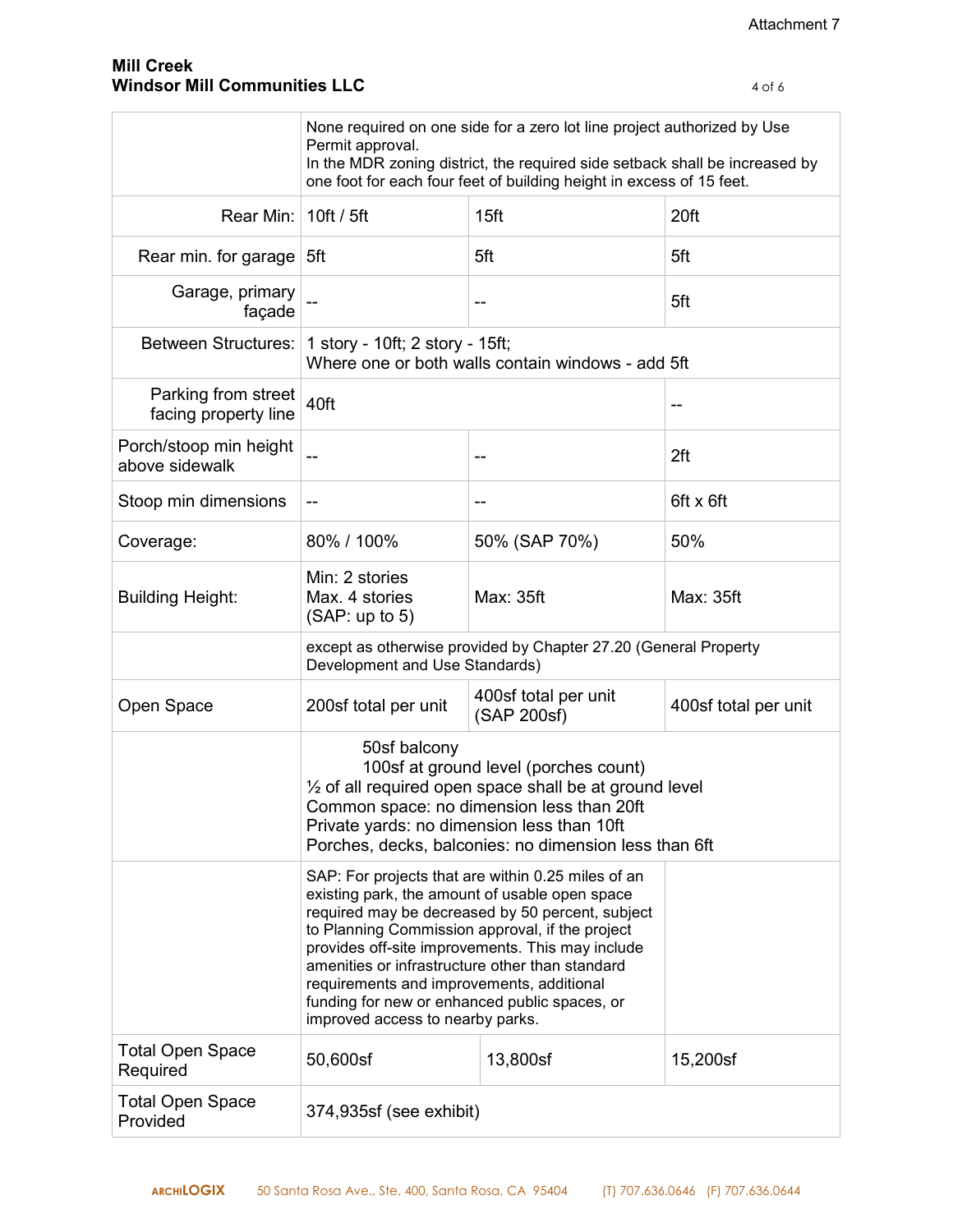|                                             | None required on one side for a zero lot line project authorized by Use<br>Permit approval.<br>In the MDR zoning district, the required side setback shall be increased by<br>one foot for each four feet of building height in excess of 15 feet.                                                                                                                                                                                                   |                                     |                      |
|---------------------------------------------|------------------------------------------------------------------------------------------------------------------------------------------------------------------------------------------------------------------------------------------------------------------------------------------------------------------------------------------------------------------------------------------------------------------------------------------------------|-------------------------------------|----------------------|
| Rear Min:   10ft / 5ft                      |                                                                                                                                                                                                                                                                                                                                                                                                                                                      | 15ft                                | 20ft                 |
| Rear min. for garage $5ft$                  |                                                                                                                                                                                                                                                                                                                                                                                                                                                      | 5ft                                 | 5ft                  |
| Garage, primary<br>façade                   |                                                                                                                                                                                                                                                                                                                                                                                                                                                      |                                     | 5ft                  |
|                                             | Between Structures:   1 story - 10ft; 2 story - 15ft;<br>Where one or both walls contain windows - add 5ft                                                                                                                                                                                                                                                                                                                                           |                                     |                      |
| Parking from street<br>facing property line | 40ft                                                                                                                                                                                                                                                                                                                                                                                                                                                 |                                     | --                   |
| Porch/stoop min height<br>above sidewalk    |                                                                                                                                                                                                                                                                                                                                                                                                                                                      | --                                  | 2ft                  |
| Stoop min dimensions                        | --                                                                                                                                                                                                                                                                                                                                                                                                                                                   | --                                  | 6ft x 6ft            |
| Coverage:                                   | 80% / 100%                                                                                                                                                                                                                                                                                                                                                                                                                                           | 50% (SAP 70%)                       | 50%                  |
| <b>Building Height:</b>                     | Min: 2 stories<br>Max. 4 stories<br>(SAP: up to 5)                                                                                                                                                                                                                                                                                                                                                                                                   | Max: 35ft                           | Max: 35ft            |
|                                             | except as otherwise provided by Chapter 27.20 (General Property<br>Development and Use Standards)                                                                                                                                                                                                                                                                                                                                                    |                                     |                      |
| Open Space                                  | 200sf total per unit                                                                                                                                                                                                                                                                                                                                                                                                                                 | 400sf total per unit<br>(SAP 200sf) | 400sf total per unit |
|                                             | 50sf balcony<br>100sf at ground level (porches count)<br>1/2 of all required open space shall be at ground level<br>Common space: no dimension less than 20ft<br>Private yards: no dimension less than 10ft<br>Porches, decks, balconies: no dimension less than 6ft                                                                                                                                                                                 |                                     |                      |
|                                             | SAP: For projects that are within 0.25 miles of an<br>existing park, the amount of usable open space<br>required may be decreased by 50 percent, subject<br>to Planning Commission approval, if the project<br>provides off-site improvements. This may include<br>amenities or infrastructure other than standard<br>requirements and improvements, additional<br>funding for new or enhanced public spaces, or<br>improved access to nearby parks. |                                     |                      |
| <b>Total Open Space</b><br>Required         | 50,600sf                                                                                                                                                                                                                                                                                                                                                                                                                                             | 13,800sf                            | 15,200sf             |
| <b>Total Open Space</b><br>Provided         | 374,935sf (see exhibit)                                                                                                                                                                                                                                                                                                                                                                                                                              |                                     |                      |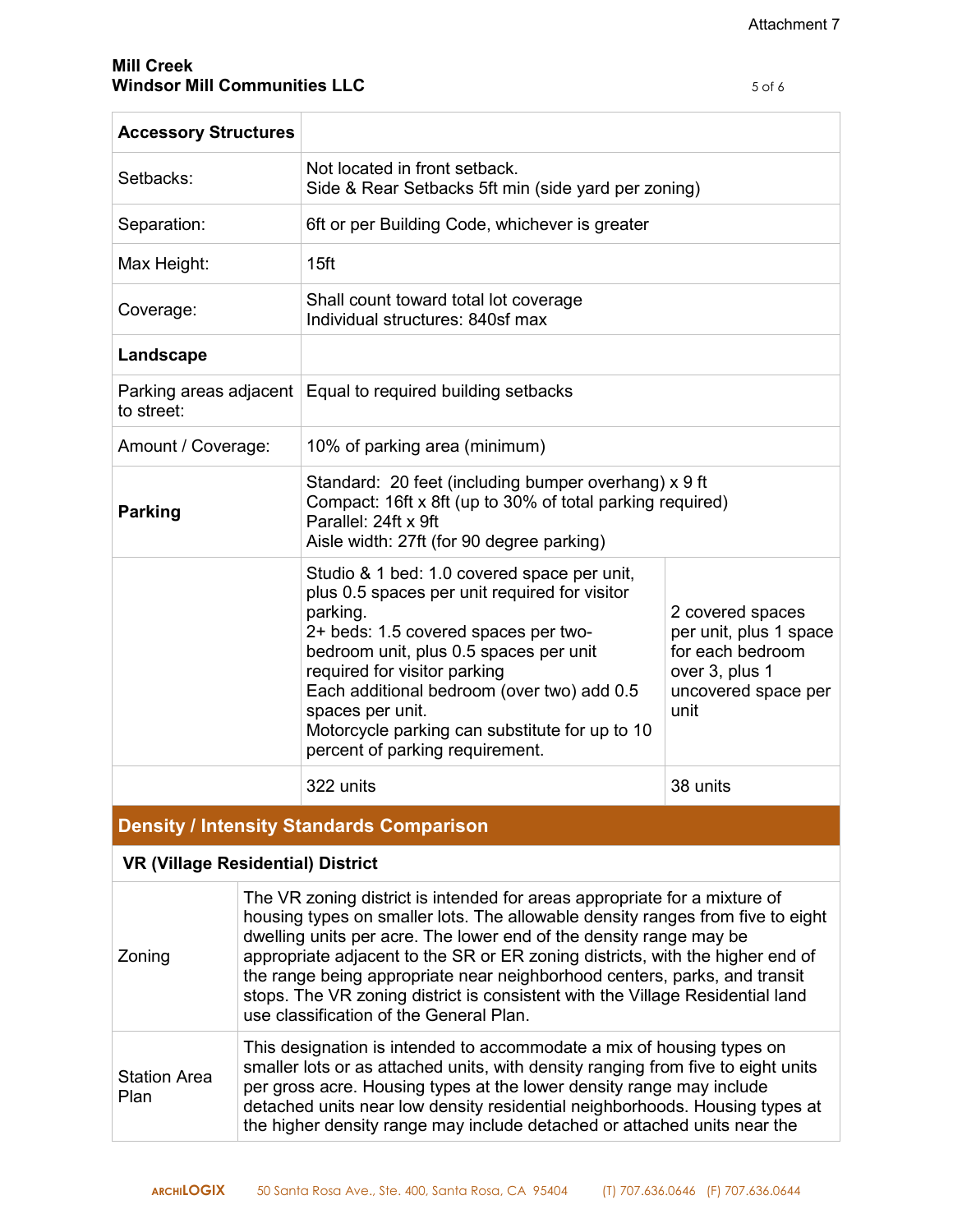| <b>Accessory Structures</b> |                                                                                                                                                                                                                                                                                                                                                                                   |                                                                                                                 |
|-----------------------------|-----------------------------------------------------------------------------------------------------------------------------------------------------------------------------------------------------------------------------------------------------------------------------------------------------------------------------------------------------------------------------------|-----------------------------------------------------------------------------------------------------------------|
| Setbacks:                   | Not located in front setback.<br>Side & Rear Setbacks 5ft min (side yard per zoning)                                                                                                                                                                                                                                                                                              |                                                                                                                 |
| Separation:                 | 6ft or per Building Code, whichever is greater                                                                                                                                                                                                                                                                                                                                    |                                                                                                                 |
| Max Height:                 | 15ft                                                                                                                                                                                                                                                                                                                                                                              |                                                                                                                 |
| Coverage:                   | Shall count toward total lot coverage<br>Individual structures: 840sf max                                                                                                                                                                                                                                                                                                         |                                                                                                                 |
| Landscape                   |                                                                                                                                                                                                                                                                                                                                                                                   |                                                                                                                 |
| to street:                  | Parking areas adjacent   Equal to required building setbacks                                                                                                                                                                                                                                                                                                                      |                                                                                                                 |
| Amount / Coverage:          | 10% of parking area (minimum)                                                                                                                                                                                                                                                                                                                                                     |                                                                                                                 |
| <b>Parking</b>              | Standard: 20 feet (including bumper overhang) x 9 ft<br>Compact: 16ft x 8ft (up to 30% of total parking required)<br>Parallel: 24ft x 9ft<br>Aisle width: 27ft (for 90 degree parking)                                                                                                                                                                                            |                                                                                                                 |
|                             | Studio & 1 bed: 1.0 covered space per unit,<br>plus 0.5 spaces per unit required for visitor<br>parking.<br>2+ beds: 1.5 covered spaces per two-<br>bedroom unit, plus 0.5 spaces per unit<br>required for visitor parking<br>Each additional bedroom (over two) add 0.5<br>spaces per unit.<br>Motorcycle parking can substitute for up to 10<br>percent of parking requirement. | 2 covered spaces<br>per unit, plus 1 space<br>for each bedroom<br>over 3, plus 1<br>uncovered space per<br>unit |
|                             | 322 units                                                                                                                                                                                                                                                                                                                                                                         | 38 units                                                                                                        |

## **Density / Intensity Standards Comparison**

# **VR (Village Residential) District**

| Zoning                      | The VR zoning district is intended for areas appropriate for a mixture of<br>housing types on smaller lots. The allowable density ranges from five to eight<br>dwelling units per acre. The lower end of the density range may be<br>appropriate adjacent to the SR or ER zoning districts, with the higher end of<br>the range being appropriate near neighborhood centers, parks, and transit<br>stops. The VR zoning district is consistent with the Village Residential land<br>use classification of the General Plan. |
|-----------------------------|-----------------------------------------------------------------------------------------------------------------------------------------------------------------------------------------------------------------------------------------------------------------------------------------------------------------------------------------------------------------------------------------------------------------------------------------------------------------------------------------------------------------------------|
| <b>Station Area</b><br>Plan | This designation is intended to accommodate a mix of housing types on<br>smaller lots or as attached units, with density ranging from five to eight units<br>per gross acre. Housing types at the lower density range may include<br>detached units near low density residential neighborhoods. Housing types at<br>the higher density range may include detached or attached units near the                                                                                                                                |